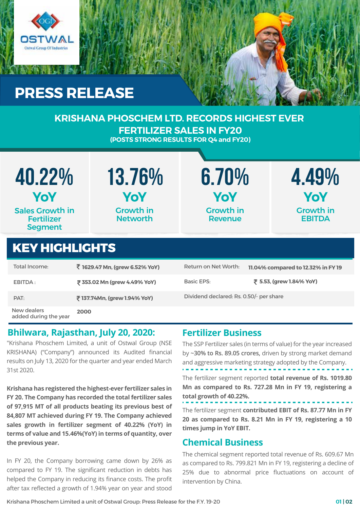

# **PRESS RELEASE**

#### **KRISHANA PHOSCHEM LTD. RECORDS HIGHEST EVER FERTILIZER SALES IN FY20 (POSTS STRONG RESULTS FOR Q4 and FY20)**

| 40.22%<br>YoY                                                 | 13.76%<br>YoY                       | 6.70%<br><b>YoY</b>                | 4.49%<br>YoY                      |  |  |
|---------------------------------------------------------------|-------------------------------------|------------------------------------|-----------------------------------|--|--|
| <b>Sales Growth in</b><br><b>Fertilizer</b><br><b>Segment</b> | <b>Growth in</b><br><b>Networth</b> | <b>Growth in</b><br><b>Revenue</b> | <b>Growth in</b><br><b>EBITDA</b> |  |  |
| <b>KEY HIGHLIGHTS</b>                                         |                                     |                                    |                                   |  |  |
| Total Income:                                                 | ₹ 1629.47 Mn, (grew 6.52% YoY)      | Return on Net Worth:               | 11.04% compared to 12.32% in FY19 |  |  |
|                                                               |                                     | D.J. PDC                           | ਤ = == ( ∩ / ∩ / ヽ/-ヽ/ヽ           |  |  |

| EBITDA:                              | ₹ 353.02 Mn (grew 4.49% YoY) | <b>Basic EPS:</b>                       | ₹ 5.53, (grew 1.84% YoY) |
|--------------------------------------|------------------------------|-----------------------------------------|--------------------------|
| PAT:                                 | ₹137.74Mn, (grew 1.94% YoY)  | Dividend declared: Rs. 0.50/- per share |                          |
| New dealers<br>added during the year | 2000                         |                                         |                          |

### **Bhilwara, Rajasthan, July 20, 2020:**

"Krishana Phoschem Limited, a unit of Ostwal Group (NSE KRISHANA) ("Company") announced its Audited financial results on July 13, 2020 for the quarter and year ended March 31st 2020.

**Krishana has registered the highest-ever fertilizer sales in FY 20. The Company has recorded the total fertilizer sales of 97,915 MT of all products beating its previous best of 84,807 MT achieved during FY 19. The Company achieved sales growth in fertilizer segment of 40.22% (YoY) in terms of value and 15.46%(YoY) in terms of quantity, over the previous year.**

In FY 20, the Company borrowing came down by 26% as compared to FY 19. The significant reduction in debts has helped the Company in reducing its finance costs. The profit after tax reflected a growth of 1.94% year on year and stood

### **Fertilizer Business**

The SSP Fertilizer sales (in terms of value) for the year increased by **~30% to Rs. 89.05 crores,** driven by strong market demand and aggressive marketing strategy adopted by the Company. The fertilizer segment reported **total revenue of Rs. 1019.80 Mn as compared to Rs. 727.28 Mn in FY 19, registering a total growth of 40.22%.** The fertilizer segment **contributed EBIT of Rs. 87.77 Mn in FY 20 as compared to Rs. 8.21 Mn in FY 19, registering a 10 times jump in YoY EBIT.**

### **Chemical Business**

The chemical segment reported total revenue of Rs. 609.67 Mn as compared to Rs. 799.821 Mn in FY 19, registering a decline of 25% due to abnormal price fluctuations on account of intervention by China.